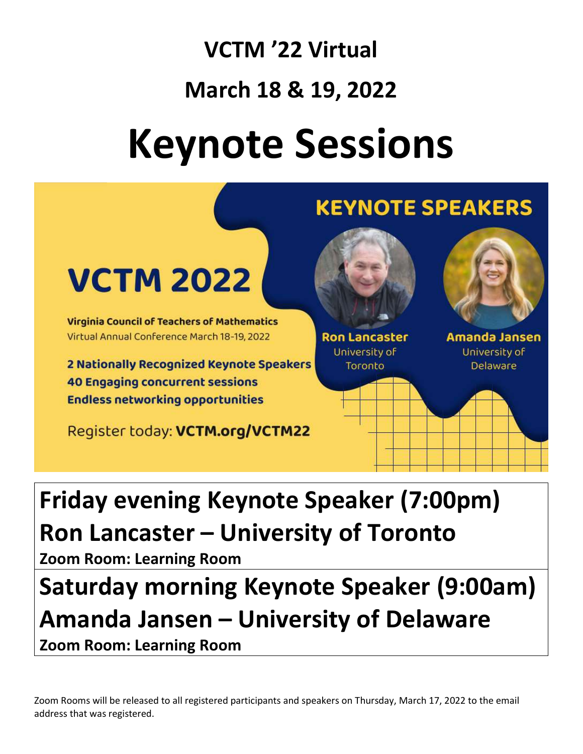## VCTM '22 Virtual March 18 & 19, 2022 Keynote Sessions



## Friday evening Keynote Speaker (7:00pm) Ron Lancaster – University of Toronto

Zoom Room: Learning Room

## Saturday morning Keynote Speaker (9:00am) Amanda Jansen – University of Delaware

Zoom Room: Learning Room

Zoom Rooms will be released to all registered participants and speakers on Thursday, March 17, 2022 to the email address that was registered.